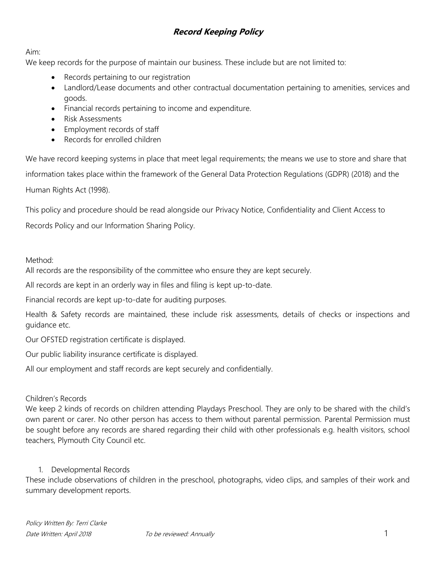Aim:

We keep records for the purpose of maintain our business. These include but are not limited to:

- Records pertaining to our registration
- Landlord/Lease documents and other contractual documentation pertaining to amenities, services and goods.
- Financial records pertaining to income and expenditure.
- Risk Assessments
- Employment records of staff
- Records for enrolled children

We have record keeping systems in place that meet legal requirements; the means we use to store and share that information takes place within the framework of the General Data Protection Regulations (GDPR) (2018) and the Human Rights Act (1998).

This policy and procedure should be read alongside our Privacy Notice, Confidentiality and Client Access to Records Policy and our Information Sharing Policy.

#### Method:

All records are the responsibility of the committee who ensure they are kept securely.

All records are kept in an orderly way in files and filing is kept up-to-date.

Financial records are kept up-to-date for auditing purposes.

Health & Safety records are maintained, these include risk assessments, details of checks or inspections and guidance etc.

Our OFSTED registration certificate is displayed.

Our public liability insurance certificate is displayed.

All our employment and staff records are kept securely and confidentially.

#### Children's Records

We keep 2 kinds of records on children attending Playdays Preschool. They are only to be shared with the child's own parent or carer. No other person has access to them without parental permission. Parental Permission must be sought before any records are shared regarding their child with other professionals e.g. health visitors, school teachers, Plymouth City Council etc.

#### 1. Developmental Records

These include observations of children in the preschool, photographs, video clips, and samples of their work and summary development reports.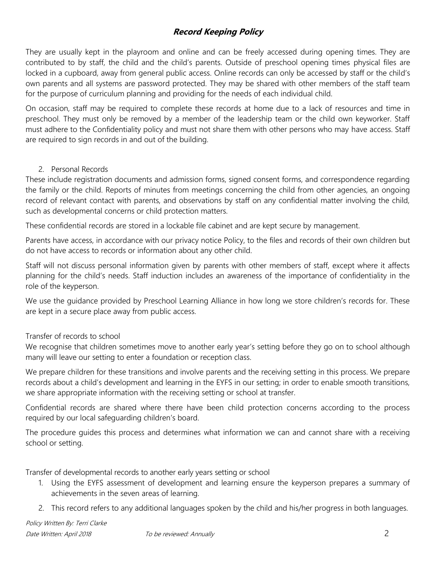They are usually kept in the playroom and online and can be freely accessed during opening times. They are contributed to by staff, the child and the child's parents. Outside of preschool opening times physical files are locked in a cupboard, away from general public access. Online records can only be accessed by staff or the child's own parents and all systems are password protected. They may be shared with other members of the staff team for the purpose of curriculum planning and providing for the needs of each individual child.

On occasion, staff may be required to complete these records at home due to a lack of resources and time in preschool. They must only be removed by a member of the leadership team or the child own keyworker. Staff must adhere to the Confidentiality policy and must not share them with other persons who may have access. Staff are required to sign records in and out of the building.

#### 2. Personal Records

These include registration documents and admission forms, signed consent forms, and correspondence regarding the family or the child. Reports of minutes from meetings concerning the child from other agencies, an ongoing record of relevant contact with parents, and observations by staff on any confidential matter involving the child, such as developmental concerns or child protection matters.

These confidential records are stored in a lockable file cabinet and are kept secure by management.

Parents have access, in accordance with our privacy notice Policy, to the files and records of their own children but do not have access to records or information about any other child.

Staff will not discuss personal information given by parents with other members of staff, except where it affects planning for the child's needs. Staff induction includes an awareness of the importance of confidentiality in the role of the keyperson.

We use the guidance provided by Preschool Learning Alliance in how long we store children's records for. These are kept in a secure place away from public access.

### Transfer of records to school

We recognise that children sometimes move to another early year's setting before they go on to school although many will leave our setting to enter a foundation or reception class.

We prepare children for these transitions and involve parents and the receiving setting in this process. We prepare records about a child's development and learning in the EYFS in our setting; in order to enable smooth transitions, we share appropriate information with the receiving setting or school at transfer.

Confidential records are shared where there have been child protection concerns according to the process required by our local safeguarding children's board.

The procedure guides this process and determines what information we can and cannot share with a receiving school or setting.

Transfer of developmental records to another early years setting or school

- 1. Using the EYFS assessment of development and learning ensure the keyperson prepares a summary of achievements in the seven areas of learning.
- 2. This record refers to any additional languages spoken by the child and his/her progress in both languages.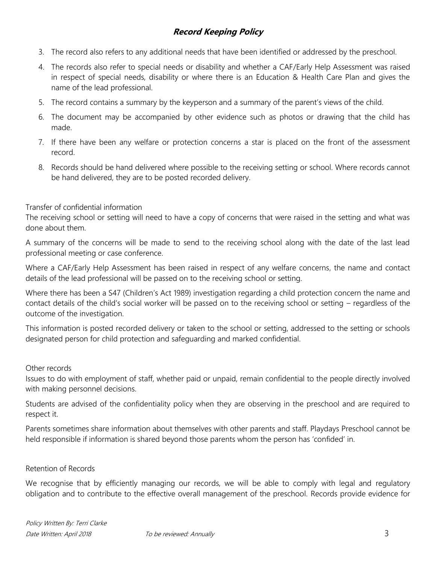- 3. The record also refers to any additional needs that have been identified or addressed by the preschool.
- 4. The records also refer to special needs or disability and whether a CAF/Early Help Assessment was raised in respect of special needs, disability or where there is an Education & Health Care Plan and gives the name of the lead professional.
- 5. The record contains a summary by the keyperson and a summary of the parent's views of the child.
- 6. The document may be accompanied by other evidence such as photos or drawing that the child has made.
- 7. If there have been any welfare or protection concerns a star is placed on the front of the assessment record.
- 8. Records should be hand delivered where possible to the receiving setting or school. Where records cannot be hand delivered, they are to be posted recorded delivery.

#### Transfer of confidential information

The receiving school or setting will need to have a copy of concerns that were raised in the setting and what was done about them.

A summary of the concerns will be made to send to the receiving school along with the date of the last lead professional meeting or case conference.

Where a CAF/Early Help Assessment has been raised in respect of any welfare concerns, the name and contact details of the lead professional will be passed on to the receiving school or setting.

Where there has been a S47 (Children's Act 1989) investigation regarding a child protection concern the name and contact details of the child's social worker will be passed on to the receiving school or setting – regardless of the outcome of the investigation.

This information is posted recorded delivery or taken to the school or setting, addressed to the setting or schools designated person for child protection and safeguarding and marked confidential.

#### Other records

Issues to do with employment of staff, whether paid or unpaid, remain confidential to the people directly involved with making personnel decisions.

Students are advised of the confidentiality policy when they are observing in the preschool and are required to respect it.

Parents sometimes share information about themselves with other parents and staff. Playdays Preschool cannot be held responsible if information is shared beyond those parents whom the person has 'confided' in.

#### Retention of Records

We recognise that by efficiently managing our records, we will be able to comply with legal and regulatory obligation and to contribute to the effective overall management of the preschool. Records provide evidence for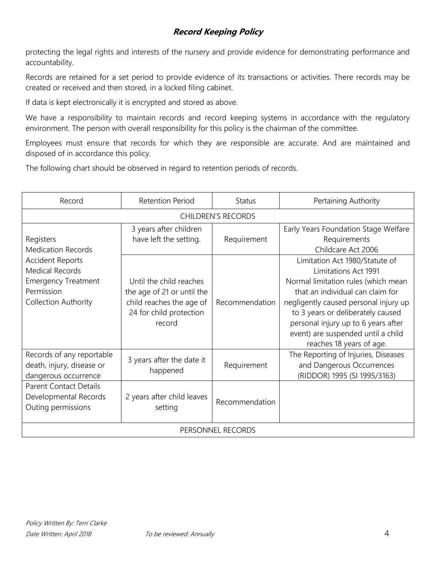protecting the legal rights and interests of the nursery and provide evidence for demonstrating performance and accountability.

Records are retained for a set period to provide evidence of its transactions or activities. There records may be created or received and then stored, in a locked filing cabinet.

If data is kept electronically it is encrypted and stored as above.

We have a responsibility to maintain records and record keeping systems in accordance with the regulatory environment. The person with overall responsibility for this policy is the chairman of the committee.

Employees must ensure that records for which they are responsible are accurate. And are maintained and disposed of in accordance this policy.

The following chart should be observed in regard to retention periods of records.

| Record                                                                                                                                                                 | <b>Retention Period</b>                                                                                                | <b>Status</b>  | Pertaining Authority                                                                                                                                                                                                                                                                                                     |  |  |  |
|------------------------------------------------------------------------------------------------------------------------------------------------------------------------|------------------------------------------------------------------------------------------------------------------------|----------------|--------------------------------------------------------------------------------------------------------------------------------------------------------------------------------------------------------------------------------------------------------------------------------------------------------------------------|--|--|--|
| <b>CHILDREN'S RECORDS</b>                                                                                                                                              |                                                                                                                        |                |                                                                                                                                                                                                                                                                                                                          |  |  |  |
| Registers<br><b>Medication Records</b><br><b>Accident Reports</b><br><b>Medical Records</b><br><b>Emergency Treatment</b><br>Permission<br><b>Collection Authority</b> | 3 years after children<br>have left the setting.                                                                       | Requirement    | Early Years Foundation Stage Welfare<br>Requirements<br>Childcare Act 2006                                                                                                                                                                                                                                               |  |  |  |
|                                                                                                                                                                        | Until the child reaches<br>the age of 21 or until the<br>child reaches the age of<br>24 for child protection<br>record | Recommendation | Limitation Act 1980/Statute of<br>Limitations Act 1991<br>Normal limitation rules (which mean<br>that an individual can claim for<br>negligently caused personal injury up<br>to 3 years or deliberately caused<br>personal injury up to 6 years after<br>event) are suspended until a child<br>reaches 18 years of age. |  |  |  |
| Records of any reportable<br>death, injury, disease or<br>dangerous occurrence                                                                                         | 3 years after the date it<br>happened                                                                                  | Requirement    | The Reporting of Injuries, Diseases<br>and Dangerous Occurrences<br>(RIDDOR) 1995 (SI 1995/3163)                                                                                                                                                                                                                         |  |  |  |
| <b>Parent Contact Details</b><br>Developmental Records<br>Outing permissions                                                                                           | 2 years after child leaves<br>setting                                                                                  | Recommendation |                                                                                                                                                                                                                                                                                                                          |  |  |  |
| PERSONNEL RECORDS                                                                                                                                                      |                                                                                                                        |                |                                                                                                                                                                                                                                                                                                                          |  |  |  |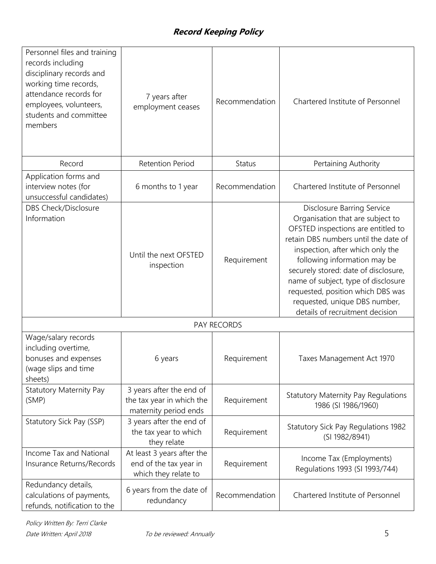| Personnel files and training<br>records including<br>disciplinary records and<br>working time records,<br>attendance records for<br>employees, volunteers,<br>students and committee<br>members | 7 years after<br>employment ceases                                             | Recommendation | Chartered Institute of Personnel                                                                                                                                                                                                                                                                                                                                                                                |  |  |  |
|-------------------------------------------------------------------------------------------------------------------------------------------------------------------------------------------------|--------------------------------------------------------------------------------|----------------|-----------------------------------------------------------------------------------------------------------------------------------------------------------------------------------------------------------------------------------------------------------------------------------------------------------------------------------------------------------------------------------------------------------------|--|--|--|
| Record                                                                                                                                                                                          | <b>Retention Period</b>                                                        | Status         | Pertaining Authority                                                                                                                                                                                                                                                                                                                                                                                            |  |  |  |
| Application forms and<br>interview notes (for<br>unsuccessful candidates)                                                                                                                       | 6 months to 1 year                                                             | Recommendation | Chartered Institute of Personnel                                                                                                                                                                                                                                                                                                                                                                                |  |  |  |
| DBS Check/Disclosure<br>Information                                                                                                                                                             | Until the next OFSTED<br>inspection                                            | Requirement    | <b>Disclosure Barring Service</b><br>Organisation that are subject to<br>OFSTED inspections are entitled to<br>retain DBS numbers until the date of<br>inspection, after which only the<br>following information may be<br>securely stored: date of disclosure,<br>name of subject, type of disclosure<br>requested, position which DBS was<br>requested, unique DBS number,<br>details of recruitment decision |  |  |  |
| PAY RECORDS                                                                                                                                                                                     |                                                                                |                |                                                                                                                                                                                                                                                                                                                                                                                                                 |  |  |  |
| Wage/salary records<br>including overtime,<br>bonuses and expenses<br>(wage slips and time<br>sheets)                                                                                           | 6 years                                                                        | Requirement    | Taxes Management Act 1970                                                                                                                                                                                                                                                                                                                                                                                       |  |  |  |
| <b>Statutory Maternity Pay</b><br>(SMP)                                                                                                                                                         | 3 years after the end of<br>the tax year in which the<br>maternity period ends | Requirement    | <b>Statutory Maternity Pay Regulations</b><br>1986 (SI 1986/1960)                                                                                                                                                                                                                                                                                                                                               |  |  |  |
| Statutory Sick Pay (SSP)                                                                                                                                                                        | 3 years after the end of<br>the tax year to which<br>they relate               | Requirement    | <b>Statutory Sick Pay Regulations 1982</b><br>(SI 1982/8941)                                                                                                                                                                                                                                                                                                                                                    |  |  |  |
| Income Tax and National<br>Insurance Returns/Records                                                                                                                                            | At least 3 years after the<br>end of the tax year in<br>which they relate to   | Requirement    | Income Tax (Employments)<br>Regulations 1993 (SI 1993/744)                                                                                                                                                                                                                                                                                                                                                      |  |  |  |
| Redundancy details,<br>calculations of payments,<br>refunds, notification to the                                                                                                                | 6 years from the date of<br>redundancy                                         | Recommendation | Chartered Institute of Personnel                                                                                                                                                                                                                                                                                                                                                                                |  |  |  |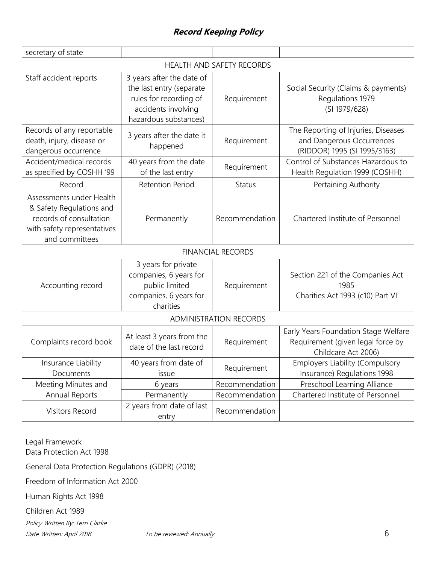| secretary of state                                                                                                               |                                                                                                                                 |                |                                                                                                  |  |  |  |
|----------------------------------------------------------------------------------------------------------------------------------|---------------------------------------------------------------------------------------------------------------------------------|----------------|--------------------------------------------------------------------------------------------------|--|--|--|
| HEALTH AND SAFETY RECORDS                                                                                                        |                                                                                                                                 |                |                                                                                                  |  |  |  |
| Staff accident reports                                                                                                           | 3 years after the date of<br>the last entry (separate<br>rules for recording of<br>accidents involving<br>hazardous substances) | Requirement    | Social Security (Claims & payments)<br>Regulations 1979<br>(SI 1979/628)                         |  |  |  |
| Records of any reportable<br>death, injury, disease or<br>dangerous occurrence                                                   | 3 years after the date it<br>happened                                                                                           | Requirement    | The Reporting of Injuries, Diseases<br>and Dangerous Occurrences<br>(RIDDOR) 1995 (SI 1995/3163) |  |  |  |
| Accident/medical records<br>as specified by COSHH '99                                                                            | 40 years from the date<br>of the last entry                                                                                     | Requirement    | Control of Substances Hazardous to<br>Health Regulation 1999 (COSHH)                             |  |  |  |
| Record                                                                                                                           | <b>Retention Period</b>                                                                                                         | <b>Status</b>  | Pertaining Authority                                                                             |  |  |  |
| Assessments under Health<br>& Safety Regulations and<br>records of consultation<br>with safety representatives<br>and committees | Permanently                                                                                                                     | Recommendation | Chartered Institute of Personnel                                                                 |  |  |  |
| <b>FINANCIAL RECORDS</b>                                                                                                         |                                                                                                                                 |                |                                                                                                  |  |  |  |
| Accounting record                                                                                                                | 3 years for private<br>companies, 6 years for<br>public limited<br>companies, 6 years for<br>charities                          | Requirement    | Section 221 of the Companies Act<br>1985<br>Charities Act 1993 (c10) Part VI                     |  |  |  |
| <b>ADMINISTRATION RECORDS</b>                                                                                                    |                                                                                                                                 |                |                                                                                                  |  |  |  |
| Complaints record book                                                                                                           | At least 3 years from the<br>date of the last record                                                                            | Requirement    | Early Years Foundation Stage Welfare<br>Requirement (given legal force by<br>Childcare Act 2006) |  |  |  |
| Insurance Liability<br>Documents                                                                                                 | 40 years from date of<br>issue                                                                                                  | Requirement    | <b>Employers Liability (Compulsory</b><br>Insurance) Regulations 1998                            |  |  |  |
| Meeting Minutes and                                                                                                              | 6 years                                                                                                                         | Recommendation | Preschool Learning Alliance                                                                      |  |  |  |
| Annual Reports                                                                                                                   | Permanently                                                                                                                     | Recommendation | Chartered Institute of Personnel.                                                                |  |  |  |
| Visitors Record                                                                                                                  | 2 years from date of last<br>entry                                                                                              | Recommendation |                                                                                                  |  |  |  |

Policy Written By: Terri Clarke Date Written: April 2018 To be reviewed: Annually Chate Written: April 2018 Legal Framework Data Protection Act 1998 General Data Protection Regulations (GDPR) (2018) Freedom of Information Act 2000 Human Rights Act 1998 Children Act 1989